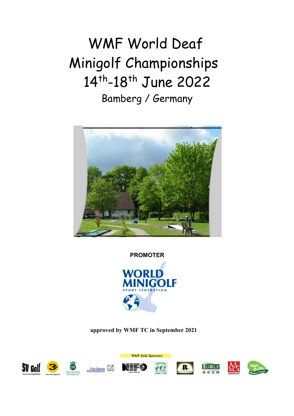# WMF World Deaf Minigolf Championships 14<sup>th</sup>-18<sup>th</sup> June 2022 Bamberg / Germany



**PROMOTER** 



**approved by WMF TC in September 2021** 

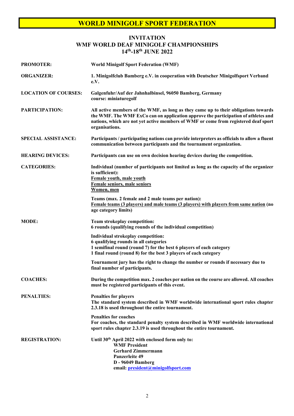#### **INVITATION WMF WORLD DEAF MINIGOLF CHAMPIONSHIPS 14th-18th JUNE 2022**

| <b>PROMOTER:</b>            | <b>World Minigolf Sport Federation (WMF)</b>                                                                                                                                                                                                                                       |  |
|-----------------------------|------------------------------------------------------------------------------------------------------------------------------------------------------------------------------------------------------------------------------------------------------------------------------------|--|
| <b>ORGANIZER:</b>           | 1. Minigolfclub Bamberg e.V. in cooperation with Deutscher Minigolfsport Verband<br>e.V.                                                                                                                                                                                           |  |
| <b>LOCATION OF COURSES:</b> | Galgenfuhr/Auf der Jahnhalbinsel, 96050 Bamberg, Germany<br>course: miniaturegolf                                                                                                                                                                                                  |  |
| PARTICIPATION:              | All active members of the WMF, as long as they came up to their obligations towards<br>the WMF. The WMF ExCo can on application approve the participation of athletes and<br>nations, which are not yet active members of WMF or come from registered deaf sport<br>organisations. |  |
| <b>SPECIAL ASSISTANCE:</b>  | Participants / participating nations can provide interpreters as officials to allow a fluent<br>communication between participants and the tournament organization.                                                                                                                |  |
| <b>HEARING DEVICES:</b>     | Participants can use on own decision hearing devices during the competition.                                                                                                                                                                                                       |  |
| <b>CATEGORIES:</b>          | Individual (number of participants not limited as long as the capacity of the organizer<br>is sufficient):<br>Female youth, male youth<br><b>Female seniors, male seniors</b><br>Women, men                                                                                        |  |
|                             | Teams (max. 2 female and 2 male teams per nation):<br>Female teams (3 players) and male teams (3 players) with players from same nation (no<br>age category limits)                                                                                                                |  |
| <b>MODE:</b>                | <b>Team strokeplay competition:</b><br>6 rounds (qualifying rounds of the individual competition)                                                                                                                                                                                  |  |
|                             | Individual strokeplay competition:<br>6 qualifying rounds in all categories<br>1 semifinal round (round 7) for the best 6 players of each category<br>1 final round (round 8) for the best 3 players of each category                                                              |  |
|                             | Tournament jury has the right to change the number or rounds if necessary due to<br>final number of participants.                                                                                                                                                                  |  |
| <b>COACHES:</b>             | During the competition max. 2 coaches per nation on the course are allowed. All coaches<br>must be registered participants of this event.                                                                                                                                          |  |
| <b>PENALTIES:</b>           | Penalties for players<br>The standard system described in WMF worldwide international sport rules chapter<br>2.3.18 is used throughout the entire tournament.                                                                                                                      |  |
|                             | <b>Penalties for coaches</b><br>For coaches, the standard penalty system described in WMF worldwide international<br>sport rules chapter 2.3.19 is used throughout the entire tournament.                                                                                          |  |
| <b>REGISTRATION:</b>        | Until 30th April 2022 with enclosed form only to:<br><b>WMF President</b><br><b>Gerhard Zimmermann</b><br><b>Panzerleite 49</b><br>D - 96049 Bamberg<br>email: president@minigolfsport.com                                                                                         |  |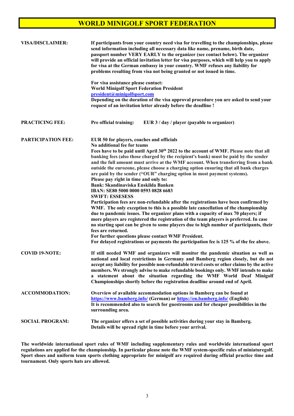| <b>VISA/DISCLAIMER:</b>   | If participants from your country need visa for travelling to the championships, please<br>send information including all necessary data like name, prename, birth date,<br>passport number VERY EARLY to the organizer (see contact below). The organizer<br>will provide an official invitation letter for visa purposes, which will help you to apply<br>for visa at the German embassy in your country. WMF refuses any liability for<br>problems resulting from visa not being granted or not issued in time.                                                                                                                                                                                                                                                                                                                                                                                                                                                                                                                                                                                                                                                                                                                                                                                              |
|---------------------------|-----------------------------------------------------------------------------------------------------------------------------------------------------------------------------------------------------------------------------------------------------------------------------------------------------------------------------------------------------------------------------------------------------------------------------------------------------------------------------------------------------------------------------------------------------------------------------------------------------------------------------------------------------------------------------------------------------------------------------------------------------------------------------------------------------------------------------------------------------------------------------------------------------------------------------------------------------------------------------------------------------------------------------------------------------------------------------------------------------------------------------------------------------------------------------------------------------------------------------------------------------------------------------------------------------------------|
|                           | For visa assistance please contact:<br><b>World Minigolf Sport Federation President</b><br>president@minigolfsport.com<br>Depending on the duration of the visa approval procedure you are asked to send your<br>request of an invitation letter already before the deadline !                                                                                                                                                                                                                                                                                                                                                                                                                                                                                                                                                                                                                                                                                                                                                                                                                                                                                                                                                                                                                                  |
| <b>PRACTICING FEE:</b>    | Pre official training:<br>EUR 3 / day / player (payable to organizer)                                                                                                                                                                                                                                                                                                                                                                                                                                                                                                                                                                                                                                                                                                                                                                                                                                                                                                                                                                                                                                                                                                                                                                                                                                           |
| <b>PARTICIPATION FEE:</b> | EUR 50 for players, coaches and officials<br>No additional fee for teams<br>Fees have to be paid until April 30 <sup>th</sup> 2022 to the account of WMF. Please note that all<br>banking fees (also those charged by the recipient's bank) must be paid by the sender<br>and the full amount must arrive at the WMF account. When transferring from a bank<br>outside the eurozone, please choose a charging option ensuring that all bank charges<br>are paid by the sender ("OUR" charging option in most payment systems).<br>Please pay right in time and only to:<br>Bank: Skandinaviska Enskilda Banken<br>IBAN: SE80 5000 0000 0593 0828 6683<br><b>SWIFT: ESSESESS</b><br>Participation fees are non-refundable after the registrations have been confirmed by<br>WMF. The only exception to this is a possible late cancellation of the championship<br>due to pandemic issues. The organizer plans with a capacity of max 70 players; if<br>more players are registered the registration of the team players is preferred. In case<br>no starting spot can be given to some players due to high number of participants, their<br>fees are returned.<br>For further questions please contact WMF President.<br>For delayed registrations or payments the participation fee is 125 % of the fee above. |
| <b>COVID 19-NOTE:</b>     | If still needed WMF and organizers will monitor the pandemic situation as well as<br>national and local restrictions in Germany and Bamberg region closely, but do not<br>accept any liability for possible non-refundable travel costs or other claims by the active<br>members. We strongly advise to make refundable bookings only. WMF intends to make<br>a statement about the situation regarding the WMF World Deaf Minigolf<br>Championships shortly before the registration deadline around end of April.                                                                                                                                                                                                                                                                                                                                                                                                                                                                                                                                                                                                                                                                                                                                                                                              |
| <b>ACCOMMODATION:</b>     | Overview of available accommodation options in Bamberg can be found at<br>https://www.bamberg.info/ (German) or https://en.bamberg.info/ (English)<br>It is recommended also to search for guestrooms and for cheaper possibilities in the<br>surrounding area.                                                                                                                                                                                                                                                                                                                                                                                                                                                                                                                                                                                                                                                                                                                                                                                                                                                                                                                                                                                                                                                 |
| <b>SOCIAL PROGRAM:</b>    | The organizer offers a set of possible activities during your stay in Bamberg.<br>Details will be spread right in time before your arrival.                                                                                                                                                                                                                                                                                                                                                                                                                                                                                                                                                                                                                                                                                                                                                                                                                                                                                                                                                                                                                                                                                                                                                                     |

**The worldwide international sport rules of WMF including supplementary rules and worldwide international sport regulations are applied for the championship. In particular please note the WMF system-specific rules of miniaturegolf. Sport shoes and uniform team sports clothing appropriate for minigolf are required during official practice time and tournament. Only sports hats are allowed.**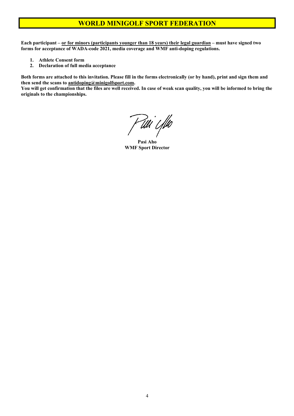**Each participant – or for minors (participants younger than 18 years) their legal guardian – must have signed two forms for acceptance of WADA-code 2021, media coverage and WMF anti-doping regulations.** 

- **1. Athlete Consent form**
- **2. Declaration of full media acceptance**

**Both forms are attached to this invitation. Please fill in the forms electronically (or by hand), print and sign them and then send the scans to antidoping@minigolfsport.com.** 

**You will get confirmation that the files are well received. In case of weak scan quality, you will be informed to bring the originals to the championships.** 

P tili i fiko

 **Pasi Aho WMF Sport Director**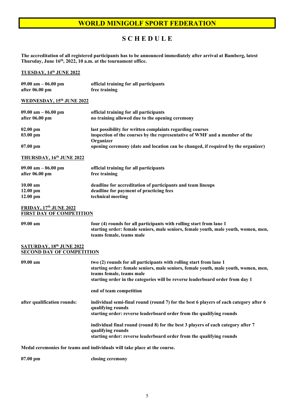# **S C H E D U L E**

**The accreditation of all registered participants has to be announced immediately after arrival at Bamberg, latest Thursday, June 16th, 2022, 10 a.m. at the tournament office.** 

#### **TUESDAY, 14th JUNE 2022**

| 09.00 am $-$ 06.00 pm<br>after $06.00 \text{ pm}$ | official training for all participants<br>free training                                                                                              |
|---------------------------------------------------|------------------------------------------------------------------------------------------------------------------------------------------------------|
| WEDNESDAY, 15th JUNE 2022                         |                                                                                                                                                      |
| $09.00$ am $-06.00$ pm<br>after 06.00 pm          | official training for all participants<br>no training allowed due to the opening ceremony                                                            |
| $02.00 \text{ pm}$<br>$03.00 \text{ pm}$          | last possibility for written complaints regarding courses<br>inspection of the courses by the representative of WMF and a member of the<br>Organizer |
| $07.00 \text{ pm}$                                | opening ceremony (date and location can be changed, if required by the organizer)                                                                    |

**THURSDAY, 16th JUNE 2022** 

| 09.00 am $-$ 06.00 pm<br>official training for all participants<br>after $06.00 \text{ pm}$<br>free training |                                                             |
|--------------------------------------------------------------------------------------------------------------|-------------------------------------------------------------|
| $10.00 \text{ am}$                                                                                           | deadline for accreditation of participants and team lineups |
| $12.00 \text{ pm}$                                                                                           | deadline for payment of practicing fees                     |
| $12.00 \text{ pm}$                                                                                           | technical meeting                                           |

#### **FRIDAY, 17th JUNE 2022 FIRST DAY OF COMPETITION**

| 09.00 am | four (4) rounds for all participants with rolling start from lane 1                 |
|----------|-------------------------------------------------------------------------------------|
|          | starting order: female seniors, male seniors, female youth, male youth, women, men, |
|          | teams female, teams male                                                            |
|          |                                                                                     |

#### **SATURDAY, 18th JUNE 2022 SECOND DAY OF COMPETITION**

| $09.00$ am                  | two (2) rounds for all participants with rolling start from lane 1<br>starting order: female seniors, male seniors, female youth, male youth, women, men,<br>teams female, teams male<br>starting order in the categories will be reverse leaderboard order from day 1 |
|-----------------------------|------------------------------------------------------------------------------------------------------------------------------------------------------------------------------------------------------------------------------------------------------------------------|
|                             | end of team competition                                                                                                                                                                                                                                                |
| after qualification rounds: | individual semi-final round (round 7) for the best 6 players of each category after 6<br>qualifying rounds                                                                                                                                                             |
|                             | starting order: reverse leaderboard order from the qualifying rounds                                                                                                                                                                                                   |
|                             | individual final round (round 8) for the best 3 players of each category after 7<br>qualifying rounds                                                                                                                                                                  |
|                             | starting order: reverse leaderboard order from the qualifying rounds                                                                                                                                                                                                   |
|                             | Madel coromonies for togms and individuals will take place at the course                                                                                                                                                                                               |

**Medal ceremonies for teams and individuals will take place at the course.** 

**07.00 pm closing ceremony** 

5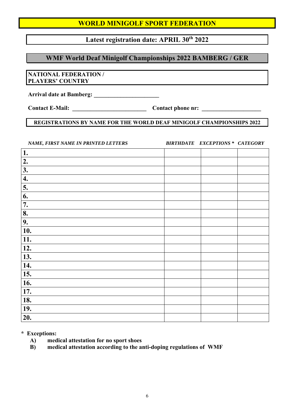# Latest registration date: APRIL 30<sup>th</sup> 2022

# **WMF World Deaf Minigolf Championships 2022 BAMBERG / GER**

#### **NATIONAL FEDERATION / PLAYERS' COUNTRY**

**Arrival date at Bamberg: \_\_\_\_\_\_\_\_\_\_\_\_\_\_\_\_\_\_\_\_\_\_**

Contact E-Mail: Contact phone nr:

## **REGISTRATIONS BY NAME FOR THE WORLD DEAF MINIGOLF CHAMPIONSHIPS 2022**

| NAME, FIRST NAME IN PRINTED LETTERS | <b>BIRTHDATE EXCEPTIONS * CATEGORY</b> |  |
|-------------------------------------|----------------------------------------|--|
| 1.                                  |                                        |  |
| 2.                                  |                                        |  |
| 3.                                  |                                        |  |
| 4.                                  |                                        |  |
| $\overline{5}$ .                    |                                        |  |
| 6.                                  |                                        |  |
| 7.                                  |                                        |  |
| 8.                                  |                                        |  |
| 9.                                  |                                        |  |
| 10.                                 |                                        |  |
| 11.                                 |                                        |  |
| 12.                                 |                                        |  |
| 13.                                 |                                        |  |
| 14.                                 |                                        |  |
| 15.                                 |                                        |  |
| 16.                                 |                                        |  |
| 17.                                 |                                        |  |
| 18.                                 |                                        |  |
| 19.                                 |                                        |  |
| 20.                                 |                                        |  |

**\* Exceptions:** 

- **A) medical attestation for no sport shoes**
- **B) medical attestation according to the anti-doping regulations of WMF**